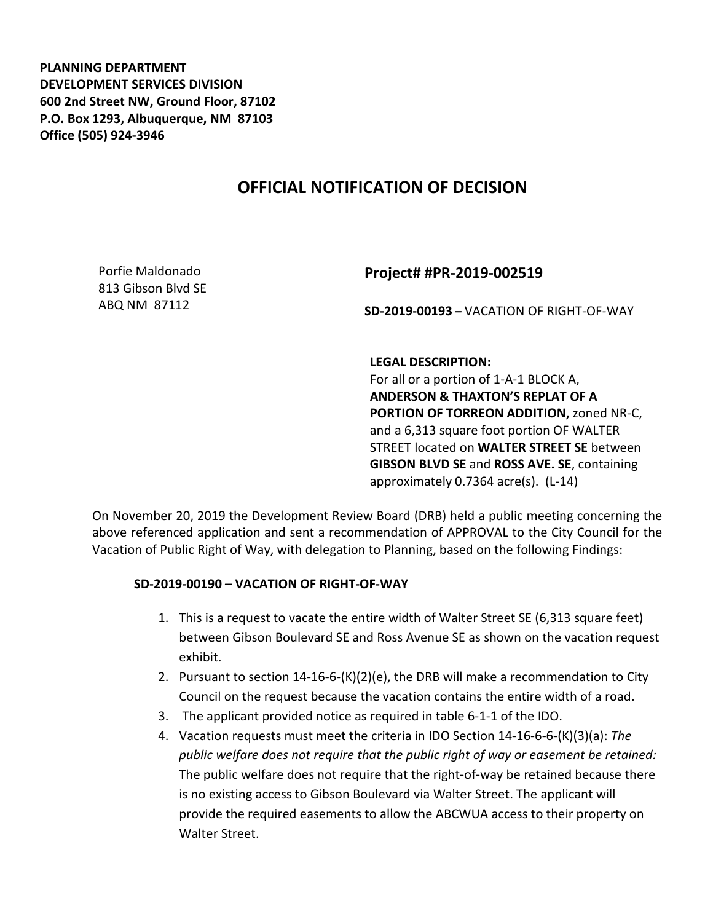**PLANNING DEPARTMENT DEVELOPMENT SERVICES DIVISION 600 2nd Street NW, Ground Floor, 87102 P.O. Box 1293, Albuquerque, NM 87103 Office (505) 924-3946** 

## **OFFICIAL NOTIFICATION OF DECISION**

Porfie Maldonado 813 Gibson Blvd SE ABQ NM 87112

## **Project# #PR-2019-002519**

**SD-2019-00193 –** VACATION OF RIGHT-OF-WAY

**LEGAL DESCRIPTION:**

For all or a portion of 1-A-1 BLOCK A, **ANDERSON & THAXTON'S REPLAT OF A PORTION OF TORREON ADDITION,** zoned NR-C, and a 6,313 square foot portion OF WALTER STREET located on **WALTER STREET SE** between **GIBSON BLVD SE** and **ROSS AVE. SE**, containing approximately 0.7364 acre(s). (L-14)

On November 20, 2019 the Development Review Board (DRB) held a public meeting concerning the above referenced application and sent a recommendation of APPROVAL to the City Council for the Vacation of Public Right of Way, with delegation to Planning, based on the following Findings:

## **SD-2019-00190 – VACATION OF RIGHT-OF-WAY**

- 1. This is a request to vacate the entire width of Walter Street SE (6,313 square feet) between Gibson Boulevard SE and Ross Avenue SE as shown on the vacation request exhibit.
- 2. Pursuant to section 14-16-6-(K)(2)(e), the DRB will make a recommendation to City Council on the request because the vacation contains the entire width of a road.
- 3. The applicant provided notice as required in table 6-1-1 of the IDO.
- 4. Vacation requests must meet the criteria in IDO Section 14-16-6-6-(K)(3)(a): *The public welfare does not require that the public right of way or easement be retained:* The public welfare does not require that the right-of-way be retained because there is no existing access to Gibson Boulevard via Walter Street. The applicant will provide the required easements to allow the ABCWUA access to their property on Walter Street.